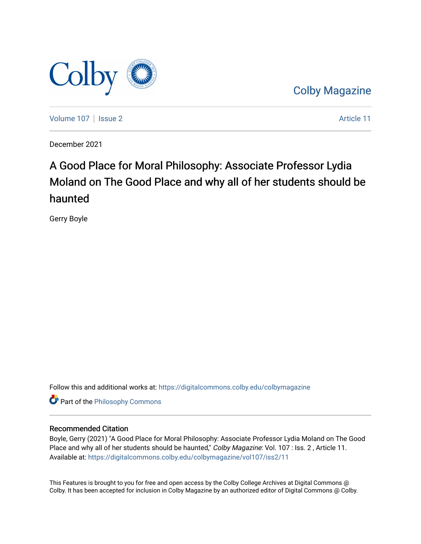

[Colby Magazine](https://digitalcommons.colby.edu/colbymagazine) 

[Volume 107](https://digitalcommons.colby.edu/colbymagazine/vol107) | [Issue 2](https://digitalcommons.colby.edu/colbymagazine/vol107/iss2) Article 11

December 2021

## A Good Place for Moral Philosophy: Associate Professor Lydia Moland on The Good Place and why all of her students should be haunted

Gerry Boyle

Follow this and additional works at: [https://digitalcommons.colby.edu/colbymagazine](https://digitalcommons.colby.edu/colbymagazine?utm_source=digitalcommons.colby.edu%2Fcolbymagazine%2Fvol107%2Fiss2%2F11&utm_medium=PDF&utm_campaign=PDFCoverPages)

Part of the [Philosophy Commons](http://network.bepress.com/hgg/discipline/525?utm_source=digitalcommons.colby.edu%2Fcolbymagazine%2Fvol107%2Fiss2%2F11&utm_medium=PDF&utm_campaign=PDFCoverPages) 

### Recommended Citation

Boyle, Gerry (2021) "A Good Place for Moral Philosophy: Associate Professor Lydia Moland on The Good Place and why all of her students should be haunted," Colby Magazine: Vol. 107 : Iss. 2, Article 11. Available at: [https://digitalcommons.colby.edu/colbymagazine/vol107/iss2/11](https://digitalcommons.colby.edu/colbymagazine/vol107/iss2/11?utm_source=digitalcommons.colby.edu%2Fcolbymagazine%2Fvol107%2Fiss2%2F11&utm_medium=PDF&utm_campaign=PDFCoverPages)

This Features is brought to you for free and open access by the Colby College Archives at Digital Commons @ Colby. It has been accepted for inclusion in Colby Magazine by an authorized editor of Digital Commons @ Colby.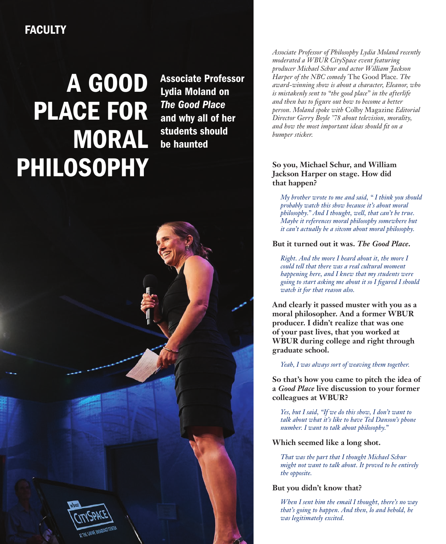### **FACULTY**

# A GOOD PLACE FOR MORAL PHILOSOPHY

Associate Professor Lydia Moland on *The Good Place* and why all of her students should be haunted

*Associate Professor of Philosophy Lydia Moland recently moderated a WBUR CitySpace event featuring producer Michael Schur and actor William Jackson Harper of the NBC comedy* The Good Place*. The award-winning show is about a character, Eleanor, who is mistakenly sent to "the good place" in the afterlife and then has to figure out how to become a better person. Moland spoke with* Colby Magazine *Editorial Director Gerry Boyle '78 about television, morality, and how the most important ideas should fit on a bumper sticker.*

### **So you, Michael Schur, and William Jackson Harper on stage. How did that happen?**

*My brother wrote to me and said, " I think you should probably watch this show because it's about moral philosophy." And I thought, well, that can't be true. Maybe it references moral philosophy somewhere but it can't actually be a sitcom about moral philosophy.*

### **But it turned out it was.** *The Good Place***.**

*Right. And the more I heard about it, the more I could tell that there was a real cultural moment happening here, and I knew that my students were going to start asking me about it so I figured I should watch it for that reason also.*

**And clearly it passed muster with you as a moral philosopher. And a former WBUR producer. I didn't realize that was one of your past lives, that you worked at WBUR during college and right through graduate school.** 

*Yeah, I was always sort of weaving them together.* 

**So that's how you came to pitch the idea of a** *Good Place* **live discussion to your former colleagues at WBUR?**

*Yes, but I said, "If we do this show, I don't want to talk about what it's like to have Ted Danson's phone number. I want to talk about philosophy."*

**Which seemed like a long shot.**

*That was the part that I thought Michael Schur might not want to talk about. It proved to be entirely the opposite.*

### **But you didn't know that?**

*When I sent him the email I thought, there's no way that's going to happen. And then, lo and behold, he was legitimately excited.*